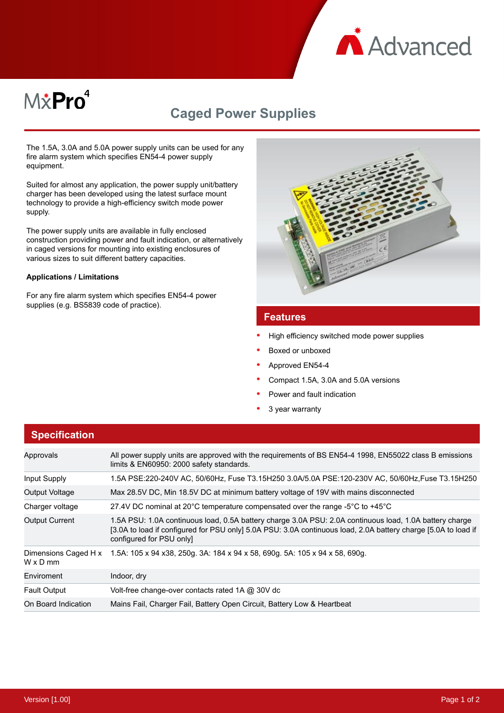

# M&Pro<sup>4</sup>

# **Caged Power Supplies**

The 1.5A, 3.0A and 5.0A power supply units can be used for any fire alarm system which specifies EN54-4 power supply equipment.

Suited for almost any application, the power supply unit/battery charger has been developed using the latest surface mount technology to provide a high-efficiency switch mode power supply.

The power supply units are available in fully enclosed construction providing power and fault indication, or alternatively in caged versions for mounting into existing enclosures of various sizes to suit different battery capacities.

#### **Applications / Limitations**

For any fire alarm system which specifies EN54-4 power supplies (e.g. BS5839 code of practice).



#### **Features**

- High efficiency switched mode power supplies
- Boxed or unboxed
- Approved EN54-4
- Compact 1.5A, 3.0A and 5.0A versions
- Power and fault indication
- 3 year warranty

| <b>Specification</b>             |                                                                                                                                                                                                                                                       |
|----------------------------------|-------------------------------------------------------------------------------------------------------------------------------------------------------------------------------------------------------------------------------------------------------|
| Approvals                        | All power supply units are approved with the requirements of BS EN54-4 1998, EN55022 class B emissions<br>limits & EN60950: 2000 safety standards.                                                                                                    |
| Input Supply                     | 1.5A PSE:220-240V AC, 50/60Hz, Fuse T3.15H250 3.0A/5.0A PSE:120-230V AC, 50/60Hz, Fuse T3.15H250                                                                                                                                                      |
| Output Voltage                   | Max 28.5V DC, Min 18.5V DC at minimum battery voltage of 19V with mains disconnected                                                                                                                                                                  |
| Charger voltage                  | 27.4V DC nominal at 20°C temperature compensated over the range -5°C to +45°C                                                                                                                                                                         |
| <b>Output Current</b>            | 1.5A PSU: 1.0A continuous load, 0.5A battery charge 3.0A PSU: 2.0A continuous load, 1.0A battery charge<br>[3.0A to load if configured for PSU only] 5.0A PSU: 3.0A continuous load, 2.0A battery charge [5.0A to load if<br>configured for PSU only] |
| Dimensions Caged H x<br>W x D mm | 1.5A: 105 x 94 x38, 250g. 3A: 184 x 94 x 58, 690g. 5A: 105 x 94 x 58, 690g.                                                                                                                                                                           |
| Enviroment                       | Indoor, dry                                                                                                                                                                                                                                           |
| <b>Fault Output</b>              | Volt-free change-over contacts rated 1A @ 30V dc                                                                                                                                                                                                      |
| On Board Indication              | Mains Fail, Charger Fail, Battery Open Circuit, Battery Low & Heartbeat                                                                                                                                                                               |